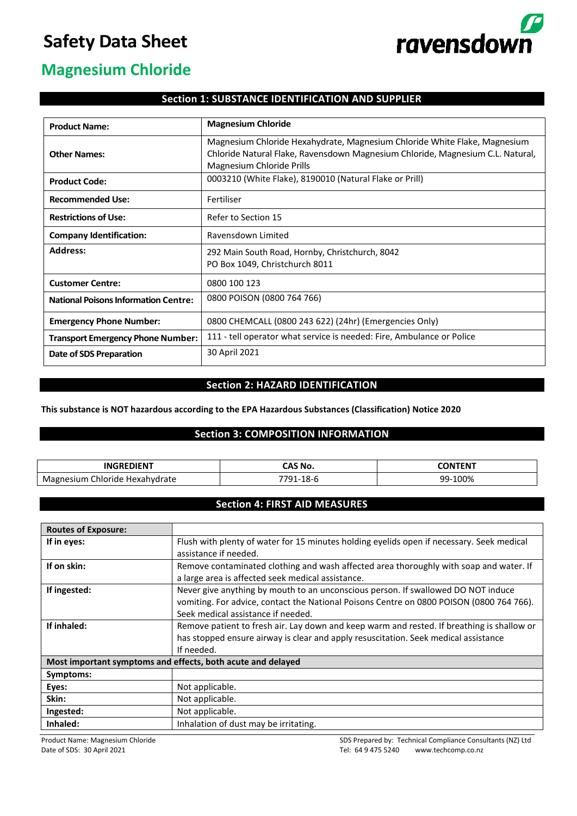# **Safety Data Sheet**



## **Magnesium Chloride**

## **Section 1: SUBSTANCE IDENTIFICATION AND SUPPLIER**

| <b>Product Name:</b>                        | <b>Magnesium Chloride</b>                                                                                                                                                                |
|---------------------------------------------|------------------------------------------------------------------------------------------------------------------------------------------------------------------------------------------|
| <b>Other Names:</b>                         | Magnesium Chloride Hexahydrate, Magnesium Chloride White Flake, Magnesium<br>Chloride Natural Flake, Ravensdown Magnesium Chloride, Magnesium C.L. Natural,<br>Magnesium Chloride Prills |
| <b>Product Code:</b>                        | 0003210 (White Flake), 8190010 (Natural Flake or Prill)                                                                                                                                  |
| <b>Recommended Use:</b>                     | Fertiliser                                                                                                                                                                               |
| <b>Restrictions of Use:</b>                 | Refer to Section 15                                                                                                                                                                      |
| <b>Company Identification:</b>              | Ravensdown Limited                                                                                                                                                                       |
| <b>Address:</b>                             | 292 Main South Road, Hornby, Christchurch, 8042<br>PO Box 1049, Christchurch 8011                                                                                                        |
| <b>Customer Centre:</b>                     | 0800 100 123                                                                                                                                                                             |
| <b>National Poisons Information Centre:</b> | 0800 POISON (0800 764 766)                                                                                                                                                               |
| <b>Emergency Phone Number:</b>              | 0800 CHEMCALL (0800 243 622) (24hr) (Emergencies Only)                                                                                                                                   |
| <b>Transport Emergency Phone Number:</b>    | 111 - tell operator what service is needed: Fire, Ambulance or Police                                                                                                                    |
| Date of SDS Preparation                     | 30 April 2021                                                                                                                                                                            |

## **Section 2: HAZARD IDENTIFICATION**

### **This substance is NOT hazardous according to the EPA Hazardous Substances (Classification) Notice 2020**

### **Section 3: COMPOSITION INFORMATION**

| $B$ <b>REDIENT</b><br>ING                     | <b>MA 241</b>       | <b>CONTENT</b>      |
|-----------------------------------------------|---------------------|---------------------|
| Ma<br>Chloride<br><b>Hexahvdrate</b><br>-siur | ⊶ הר<br>$\sim$<br>∸ | $-100%$<br>۵Q.<br>J |

## **Section 4: FIRST AID MEASURES**

| <b>Routes of Exposure:</b>                                  |                                                                                            |
|-------------------------------------------------------------|--------------------------------------------------------------------------------------------|
| If in eyes:                                                 | Flush with plenty of water for 15 minutes holding eyelids open if necessary. Seek medical  |
|                                                             | assistance if needed.                                                                      |
| If on skin:                                                 | Remove contaminated clothing and wash affected area thoroughly with soap and water. If     |
|                                                             | a large area is affected seek medical assistance.                                          |
| If ingested:                                                | Never give anything by mouth to an unconscious person. If swallowed DO NOT induce          |
|                                                             | vomiting. For advice, contact the National Poisons Centre on 0800 POISON (0800 764 766).   |
|                                                             | Seek medical assistance if needed.                                                         |
| If inhaled:                                                 | Remove patient to fresh air. Lay down and keep warm and rested. If breathing is shallow or |
|                                                             | has stopped ensure airway is clear and apply resuscitation. Seek medical assistance        |
|                                                             | If needed.                                                                                 |
| Most important symptoms and effects, both acute and delayed |                                                                                            |
| Symptoms:                                                   |                                                                                            |
| Eyes:                                                       | Not applicable.                                                                            |
| Skin:                                                       | Not applicable.                                                                            |
| Ingested:                                                   | Not applicable.                                                                            |
| Inhaled:                                                    | Inhalation of dust may be irritating.                                                      |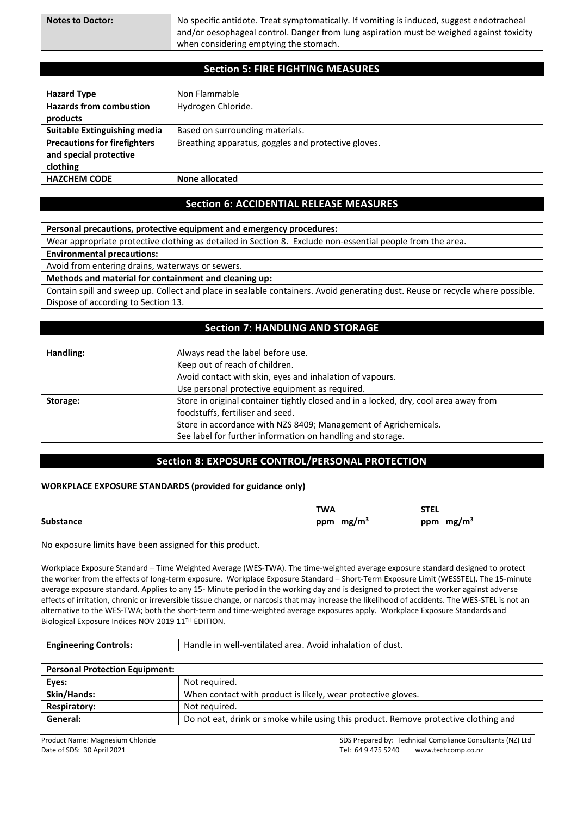| <b>Notes to Doctor:</b> | No specific antidote. Treat symptomatically. If vomiting is induced, suggest endotracheal<br>and/or oesophageal control. Danger from lung aspiration must be weighed against toxicity |
|-------------------------|---------------------------------------------------------------------------------------------------------------------------------------------------------------------------------------|
|                         | when considering emptying the stomach.                                                                                                                                                |

## **Section 5: FIRE FIGHTING MEASURES**

| <b>Hazard Type</b>                  | Non Flammable                                       |
|-------------------------------------|-----------------------------------------------------|
| <b>Hazards from combustion</b>      | Hydrogen Chloride.                                  |
| products                            |                                                     |
| <b>Suitable Extinguishing media</b> | Based on surrounding materials.                     |
| <b>Precautions for firefighters</b> | Breathing apparatus, goggles and protective gloves. |
| and special protective              |                                                     |
| clothing                            |                                                     |
| <b>HAZCHEM CODE</b>                 | None allocated                                      |

## **Section 6: ACCIDENTIAL RELEASE MEASURES**

**Personal precautions, protective equipment and emergency procedures:**

Wear appropriate protective clothing as detailed in Section 8. Exclude non-essential people from the area.

**Environmental precautions:**

Avoid from entering drains, waterways or sewers.

**Methods and material for containment and cleaning up:**

Contain spill and sweep up. Collect and place in sealable containers. Avoid generating dust. Reuse or recycle where possible. Dispose of according to Section 13.

## **Section 7: HANDLING AND STORAGE**

| Handling: | Always read the label before use.                                                    |
|-----------|--------------------------------------------------------------------------------------|
|           | Keep out of reach of children.                                                       |
|           | Avoid contact with skin, eyes and inhalation of vapours.                             |
|           | Use personal protective equipment as required.                                       |
| Storage:  | Store in original container tightly closed and in a locked, dry, cool area away from |
|           | foodstuffs, fertiliser and seed.                                                     |
|           | Store in accordance with NZS 8409; Management of Agrichemicals.                      |
|           | See label for further information on handling and storage.                           |

## **Section 8: EXPOSURE CONTROL/PERSONAL PROTECTION**

#### **WORKPLACE EXPOSURE STANDARDS (provided for guidance only)**

|                  | TWA         | STEL        |
|------------------|-------------|-------------|
| <b>Substance</b> | ppm $mg/m3$ | ppm $mg/m3$ |

No exposure limits have been assigned for this product.

Workplace Exposure Standard – Time Weighted Average (WES-TWA). The time-weighted average exposure standard designed to protect the worker from the effects of long-term exposure. Workplace Exposure Standard – Short-Term Exposure Limit (WESSTEL). The 15-minute average exposure standard. Applies to any 15- Minute period in the working day and is designed to protect the worker against adverse effects of irritation, chronic or irreversible tissue change, or narcosis that may increase the likelihood of accidents. The WES-STEL is not an alternative to the WES-TWA; both the short-term and time-weighted average exposures apply. Workplace Exposure Standards and Biological Exposure Indices NOV 2019 11TH EDITION.

| <b>Engineering Controls:</b>          | Handle in well-ventilated area. Avoid inhalation of dust.    |
|---------------------------------------|--------------------------------------------------------------|
|                                       |                                                              |
| <b>Personal Protection Equipment:</b> |                                                              |
| Eyes:                                 | Not required.                                                |
| <b>Skin/Hands:</b>                    | When contact with product is likely, wear protective gloves. |

**Respiratory:** Not required. General: **Do not eat, drink or smoke while using this product. Remove protective clothing and**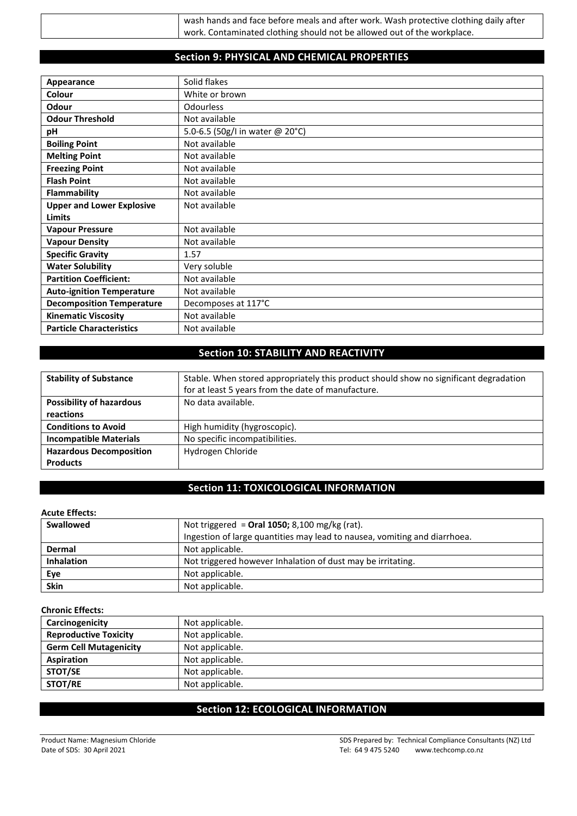| wash hands and face before meals and after work. Wash protective clothing daily after |
|---------------------------------------------------------------------------------------|
| work. Contaminated clothing should not be allowed out of the workplace.               |
|                                                                                       |

## **Section 9: PHYSICAL AND CHEMICAL PROPERTIES**

| Appearance                       | Solid flakes                    |
|----------------------------------|---------------------------------|
| <b>Colour</b>                    | White or brown                  |
| <b>Odour</b>                     | <b>Odourless</b>                |
| <b>Odour Threshold</b>           | Not available                   |
| рH                               | 5.0-6.5 (50g/l in water @ 20°C) |
| <b>Boiling Point</b>             | Not available                   |
| <b>Melting Point</b>             | Not available                   |
| <b>Freezing Point</b>            | Not available                   |
| <b>Flash Point</b>               | Not available                   |
| Flammability                     | Not available                   |
| <b>Upper and Lower Explosive</b> | Not available                   |
| <b>Limits</b>                    |                                 |
| <b>Vapour Pressure</b>           | Not available                   |
| <b>Vapour Density</b>            | Not available                   |
| <b>Specific Gravity</b>          | 1.57                            |
| <b>Water Solubility</b>          | Very soluble                    |
| <b>Partition Coefficient:</b>    | Not available                   |
| <b>Auto-ignition Temperature</b> | Not available                   |
| <b>Decomposition Temperature</b> | Decomposes at 117°C             |
| <b>Kinematic Viscosity</b>       | Not available                   |
| <b>Particle Characteristics</b>  | Not available                   |

## **Section 10: STABILITY AND REACTIVITY**

| <b>Stability of Substance</b>   | Stable. When stored appropriately this product should show no significant degradation |
|---------------------------------|---------------------------------------------------------------------------------------|
|                                 | for at least 5 years from the date of manufacture.                                    |
| <b>Possibility of hazardous</b> | No data available.                                                                    |
| reactions                       |                                                                                       |
| <b>Conditions to Avoid</b>      | High humidity (hygroscopic).                                                          |
| <b>Incompatible Materials</b>   | No specific incompatibilities.                                                        |
| <b>Hazardous Decomposition</b>  | Hydrogen Chloride                                                                     |
| <b>Products</b>                 |                                                                                       |

## **Section 11: TOXICOLOGICAL INFORMATION**

## **Acute Effects:**

| Swallowed         | Not triggered = Oral 1050; 8,100 mg/kg (rat).                             |
|-------------------|---------------------------------------------------------------------------|
|                   | Ingestion of large quantities may lead to nausea, vomiting and diarrhoea. |
| Dermal            | Not applicable.                                                           |
| <b>Inhalation</b> | Not triggered however Inhalation of dust may be irritating.               |
| Eye               | Not applicable.                                                           |
| <b>Skin</b>       | Not applicable.                                                           |

## **Chronic Effects:**

| Carcinogenicity               | Not applicable. |
|-------------------------------|-----------------|
| <b>Reproductive Toxicity</b>  | Not applicable. |
| <b>Germ Cell Mutagenicity</b> | Not applicable. |
| Aspiration                    | Not applicable. |
| STOT/SE                       | Not applicable. |
| STOT/RE                       | Not applicable. |

## **Section 12: ECOLOGICAL INFORMATION**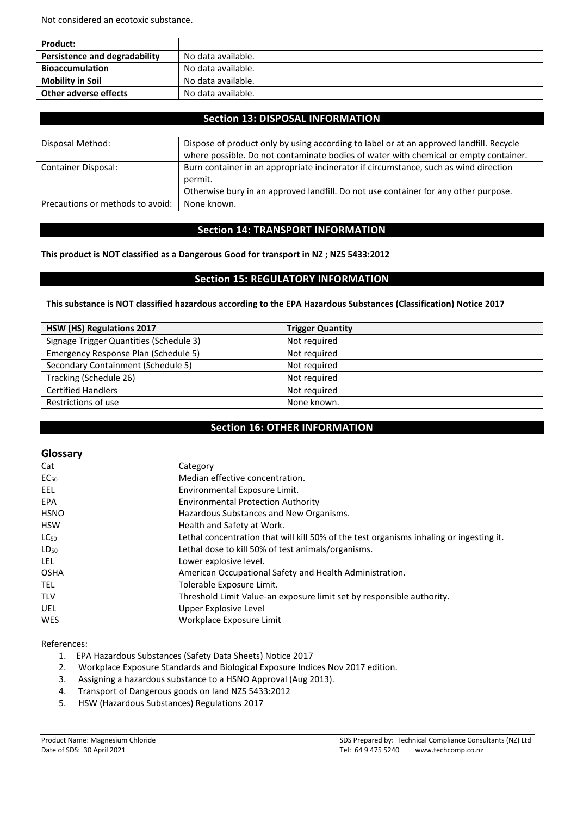Not considered an ecotoxic substance.

| <b>Product:</b>                      |                    |
|--------------------------------------|--------------------|
| <b>Persistence and degradability</b> | No data available. |
| <b>Bioaccumulation</b>               | No data available. |
| <b>Mobility in Soil</b>              | No data available. |
| Other adverse effects                | No data available. |

## **Section 13: DISPOSAL INFORMATION**

| Disposal Method:                 | Dispose of product only by using according to label or at an approved landfill. Recycle         |
|----------------------------------|-------------------------------------------------------------------------------------------------|
|                                  | where possible. Do not contaminate bodies of water with chemical or empty container.            |
| Container Disposal:              | Burn container in an appropriate incinerator if circumstance, such as wind direction<br>permit. |
|                                  | Otherwise bury in an approved landfill. Do not use container for any other purpose.             |
| Precautions or methods to avoid: | None known.                                                                                     |

## **Section 14: TRANSPORT INFORMATION**

**This product is NOT classified as a Dangerous Good for transport in NZ ; NZS 5433:2012**

## **Section 15: REGULATORY INFORMATION**

**This substance is NOT classified hazardous according to the EPA Hazardous Substances (Classification) Notice 2017**

| HSW (HS) Regulations 2017               | <b>Trigger Quantity</b> |
|-----------------------------------------|-------------------------|
| Signage Trigger Quantities (Schedule 3) | Not required            |
| Emergency Response Plan (Schedule 5)    | Not required            |
| Secondary Containment (Schedule 5)      | Not required            |
| Tracking (Schedule 26)                  | Not required            |
| <b>Certified Handlers</b>               | Not required            |
| Restrictions of use                     | None known.             |

## **Section 16: OTHER INFORMATION**

#### **Glossary**

| Category                                                                                |
|-----------------------------------------------------------------------------------------|
| Median effective concentration.                                                         |
| Environmental Exposure Limit.                                                           |
| <b>Environmental Protection Authority</b>                                               |
| Hazardous Substances and New Organisms.                                                 |
| Health and Safety at Work.                                                              |
| Lethal concentration that will kill 50% of the test organisms inhaling or ingesting it. |
| Lethal dose to kill 50% of test animals/organisms.                                      |
| Lower explosive level.                                                                  |
| American Occupational Safety and Health Administration.                                 |
| Tolerable Exposure Limit.                                                               |
| Threshold Limit Value-an exposure limit set by responsible authority.                   |
| Upper Explosive Level                                                                   |
| Workplace Exposure Limit                                                                |
|                                                                                         |

#### References:

- 1. EPA Hazardous Substances (Safety Data Sheets) Notice 2017
- 2. Workplace Exposure Standards and Biological Exposure Indices Nov 2017 edition.<br>3. Assigning a hazardous substance to a HSNO Approval (Aug 2013).
- Assigning a hazardous substance to a HSNO Approval (Aug 2013).
- 4. Transport of Dangerous goods on land NZS 5433:2012
- 5. HSW (Hazardous Substances) Regulations 2017